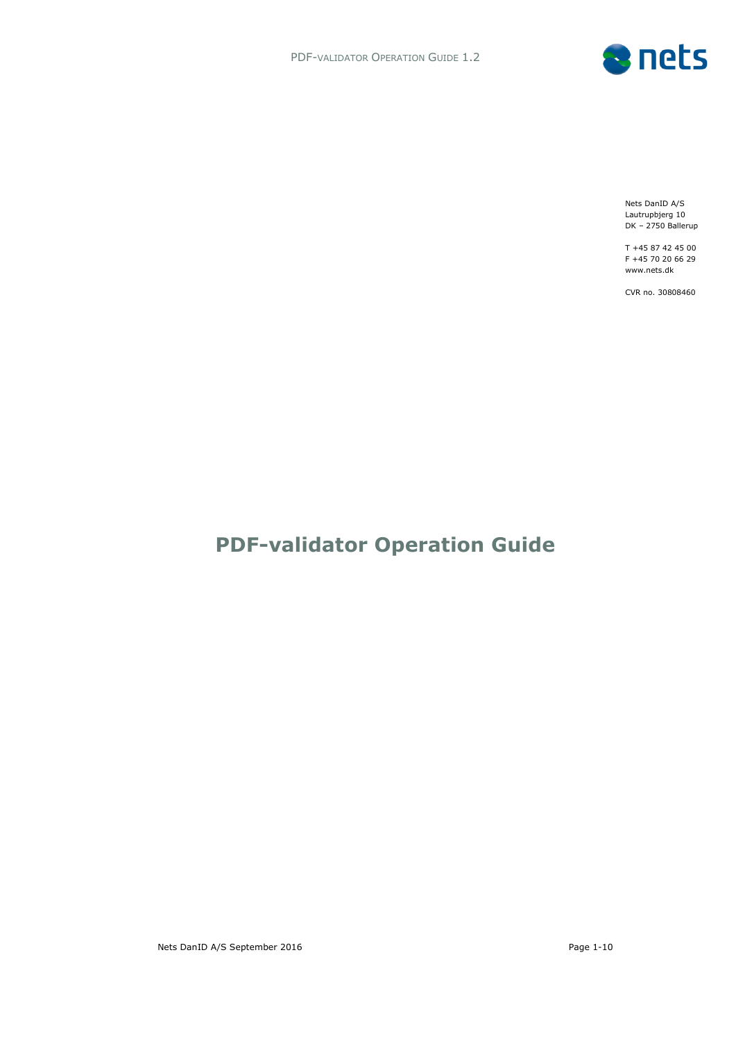

Nets DanID A/S Lautrupbjerg 10 DK – 2750 Ballerup

T +45 87 42 45 00 F +45 70 20 66 29 www.nets.dk

CVR no. 30808460

# **PDF-validator Operation Guide**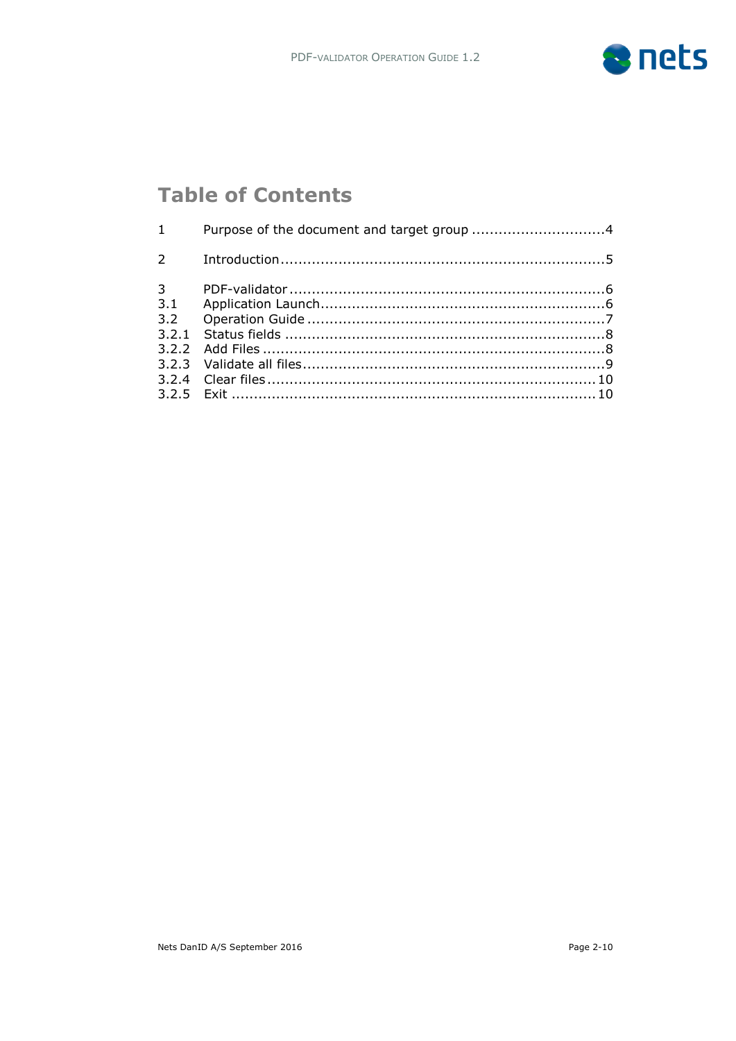

# **Table of Contents**

| $1 \quad \blacksquare$ | Purpose of the document and target group 4 |  |
|------------------------|--------------------------------------------|--|
|                        |                                            |  |
| $3^{\circ}$            |                                            |  |
|                        |                                            |  |
|                        |                                            |  |
|                        |                                            |  |
|                        |                                            |  |
|                        |                                            |  |
|                        |                                            |  |
|                        |                                            |  |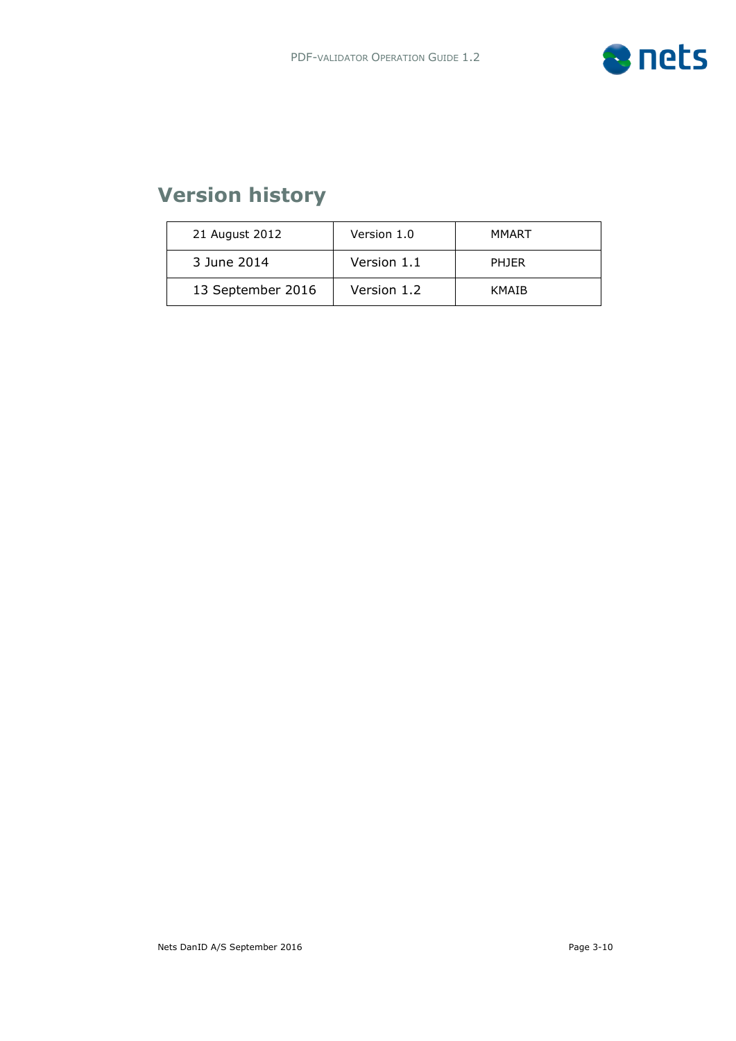

# **Version history**

| 21 August 2012    | Version 1.0 | MMART        |
|-------------------|-------------|--------------|
| 3 June 2014       | Version 1.1 | <b>PHIFR</b> |
| 13 September 2016 | Version 1.2 | <b>KMAIB</b> |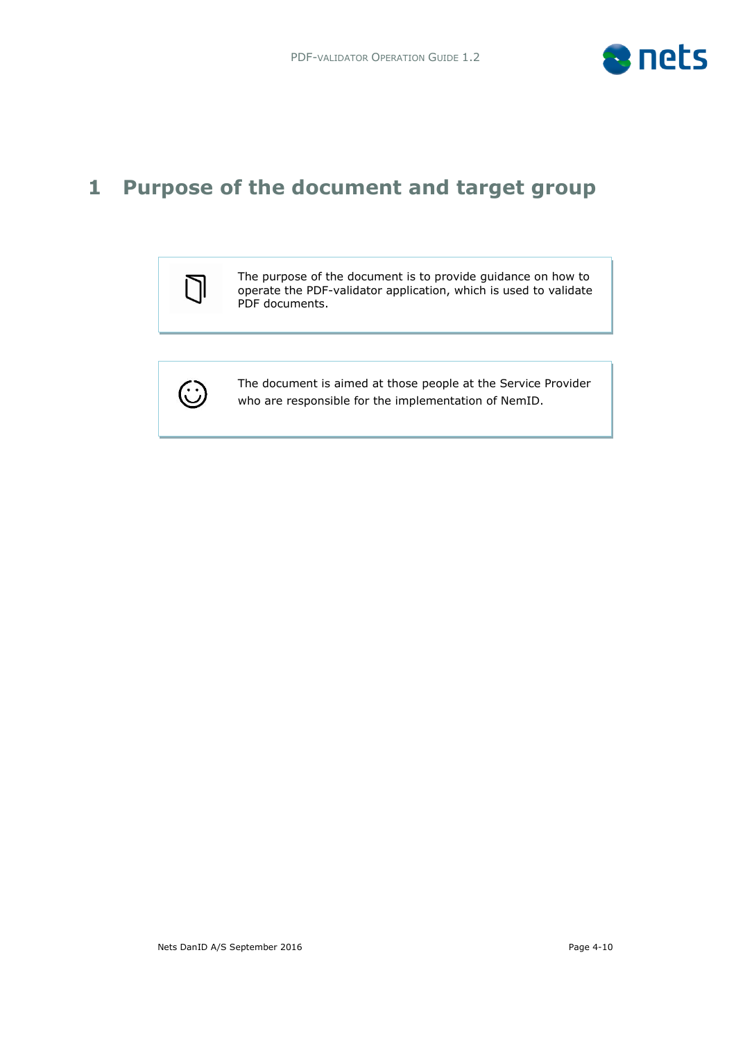

## **1 Purpose of the document and target group**



The purpose of the document is to provide guidance on how to operate the PDF-validator application, which is used to validate PDF documents.



 who are responsible for the implementation of NemID. The document is aimed at those people at the Service Provider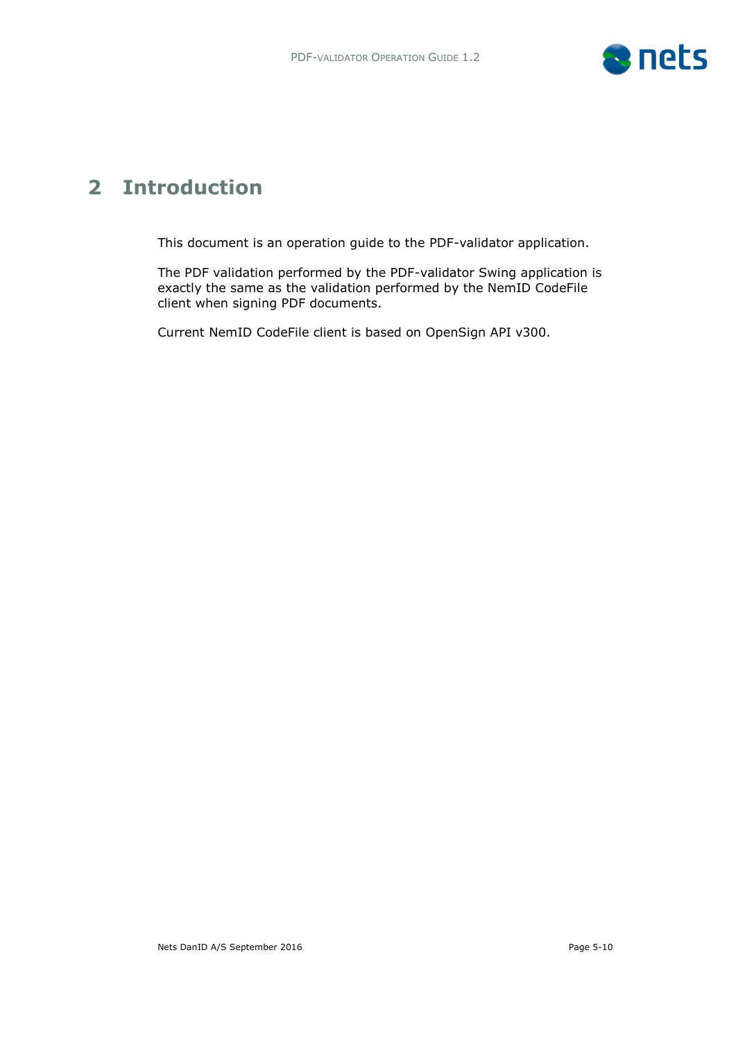

## **2 Introduction**

This document is an operation guide to the PDF-validator application.

The PDF validation performed by the PDF-validator Swing application is exactly the same as the validation performed by the NemID CodeFile client when signing PDF documents.

Current NemID CodeFile client is based on OpenSign API v300.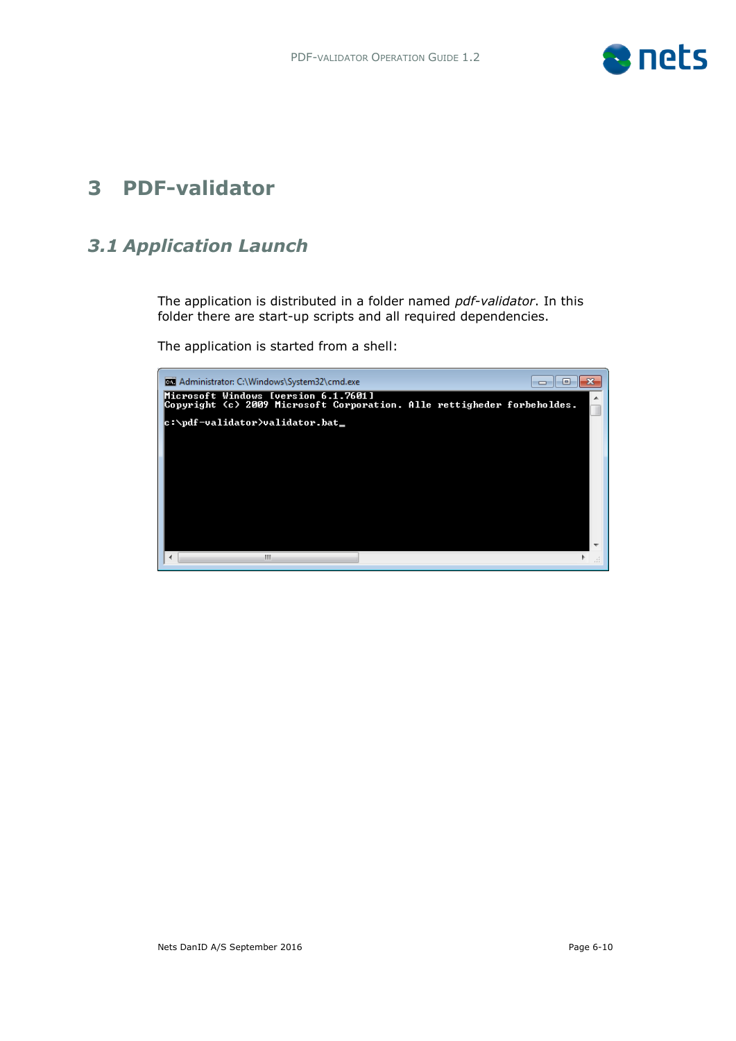

## **3 PDF-validator**

## *3.1 Application Launch*

The application is distributed in a folder named *pdf-validator*. In this folder there are start-up scripts and all required dependencies.

The application is started from a shell:

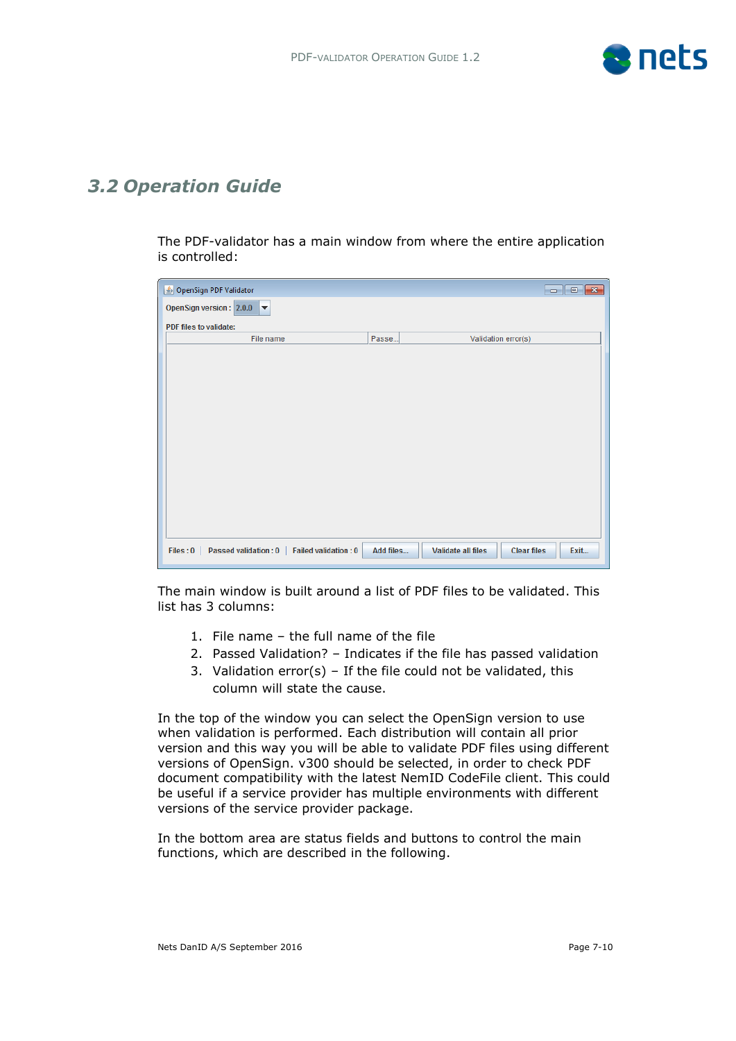

### *3.2 Operation Guide*

The PDF-validator has a main window from where the entire application is controlled:

| OpenSign PDF Validator                                                 |           |                                                 |      |
|------------------------------------------------------------------------|-----------|-------------------------------------------------|------|
| OpenSign version: 2.0.0<br>$\overline{\phantom{a}}$                    |           |                                                 |      |
| PDF files to validate:                                                 |           |                                                 |      |
| File name                                                              | Passe     | Validation error(s)                             |      |
|                                                                        |           |                                                 |      |
|                                                                        |           |                                                 |      |
|                                                                        |           |                                                 |      |
|                                                                        |           |                                                 |      |
|                                                                        |           |                                                 |      |
|                                                                        |           |                                                 |      |
|                                                                        |           |                                                 |      |
|                                                                        |           |                                                 |      |
|                                                                        |           |                                                 |      |
|                                                                        |           |                                                 |      |
|                                                                        |           |                                                 |      |
|                                                                        |           |                                                 |      |
|                                                                        |           |                                                 |      |
| Files: 0<br><b>Passed validation: 0</b><br><b>Failed validation: 0</b> | Add files | <b>Validate all files</b><br><b>Clear files</b> | Exit |

The main window is built around a list of PDF files to be validated. This list has 3 columns:

- 1. File name the full name of the file
- 2. Passed Validation? Indicates if the file has passed validation
- 3. Validation error(s) If the file could not be validated, this column will state the cause.

In the top of the window you can select the OpenSign version to use when validation is performed. Each distribution will contain all prior version and this way you will be able to validate PDF files using different versions of OpenSign. v300 should be selected, in order to check PDF document compatibility with the latest NemID CodeFile client. This could be useful if a service provider has multiple environments with different versions of the service provider package.

In the bottom area are status fields and buttons to control the main functions, which are described in the following.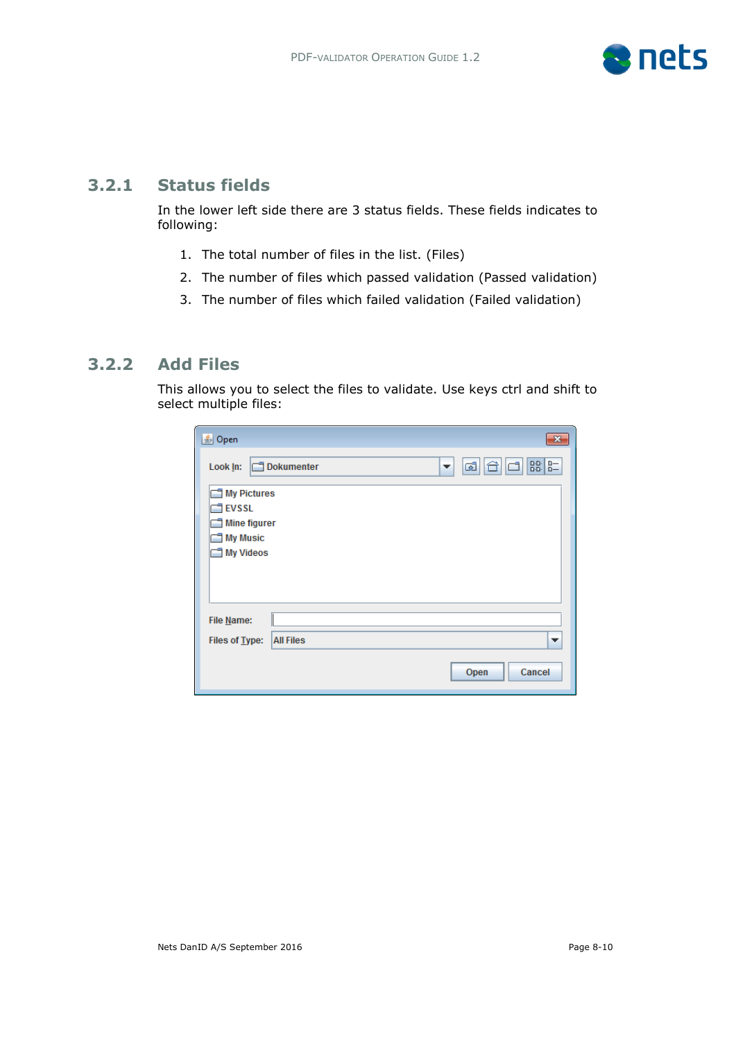

### **3.2.1 Status fields**

In the lower left side there are 3 status fields. These fields indicates to following:

- 1. The total number of files in the list. (Files)
- 2. The number of files which passed validation (Passed validation)
- 3. The number of files which failed validation (Failed validation)

### **3.2.2 Add Files**

This allows you to select the files to validate. Use keys ctrl and shift to select multiple files:

| 乡 Open<br>$\mathbf{z}$                                                    |
|---------------------------------------------------------------------------|
| $_{0-}^{0-}$<br>$B_0^{0.0.1}$<br>ශ්<br>C1.<br>Dokumenter<br>Look In:<br>▼ |
| My Pictures                                                               |
| $\Box$ EVSSL                                                              |
| Mine figurer                                                              |
| My Music                                                                  |
| My Videos                                                                 |
|                                                                           |
|                                                                           |
|                                                                           |
| File Name:                                                                |
| <b>All Files</b><br>Files of Type:<br>$\overline{\phantom{a}}$            |
| Cancel<br>Open                                                            |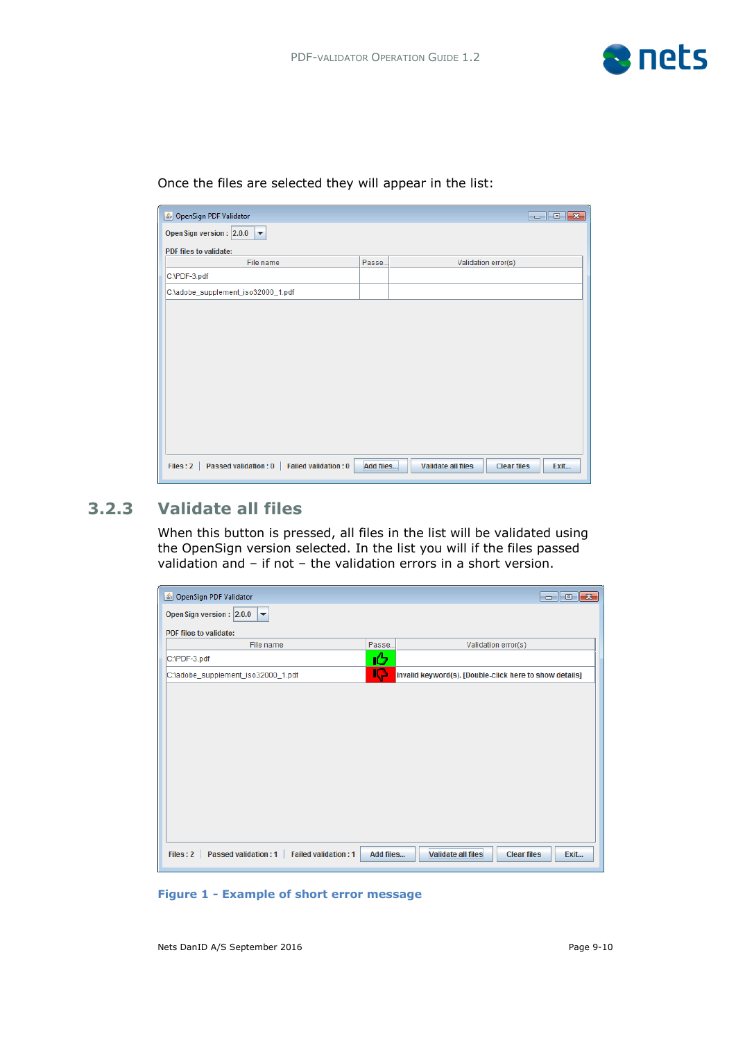

| OpenSign PDF Validator                                                 |           |                           |                    | $\begin{array}{c c c c c} \hline \multicolumn{1}{c }{\mathbf{.}} & \multicolumn{1}{c }{\mathbf{.}} & \multicolumn{1}{c }{\mathbf{.}} & \multicolumn{1}{c }{\mathbf{.}} & \multicolumn{1}{c }{\mathbf{.}} & \multicolumn{1}{c }{\mathbf{.}} & \multicolumn{1}{c }{\mathbf{.}} & \multicolumn{1}{c }{\mathbf{.}} & \multicolumn{1}{c }{\mathbf{.}} & \multicolumn{1}{c }{\mathbf{.}} & \multicolumn{1}{c }{\mathbf{.}} & \multicolumn{1}{c }{\mathbf{.$ |
|------------------------------------------------------------------------|-----------|---------------------------|--------------------|-------------------------------------------------------------------------------------------------------------------------------------------------------------------------------------------------------------------------------------------------------------------------------------------------------------------------------------------------------------------------------------------------------------------------------------------------------|
| Open Sign version: 2.0.0<br>$\overline{\phantom{a}}$                   |           |                           |                    |                                                                                                                                                                                                                                                                                                                                                                                                                                                       |
| PDF files to validate:                                                 |           |                           |                    |                                                                                                                                                                                                                                                                                                                                                                                                                                                       |
| File name                                                              | Passe     | Validation error(s)       |                    |                                                                                                                                                                                                                                                                                                                                                                                                                                                       |
| C:\PDF-3.pdf                                                           |           |                           |                    |                                                                                                                                                                                                                                                                                                                                                                                                                                                       |
| C:\adobe_supplement_iso32000_1.pdf                                     |           |                           |                    |                                                                                                                                                                                                                                                                                                                                                                                                                                                       |
|                                                                        |           |                           |                    |                                                                                                                                                                                                                                                                                                                                                                                                                                                       |
|                                                                        |           |                           |                    |                                                                                                                                                                                                                                                                                                                                                                                                                                                       |
|                                                                        |           |                           |                    |                                                                                                                                                                                                                                                                                                                                                                                                                                                       |
|                                                                        |           |                           |                    |                                                                                                                                                                                                                                                                                                                                                                                                                                                       |
|                                                                        |           |                           |                    |                                                                                                                                                                                                                                                                                                                                                                                                                                                       |
|                                                                        |           |                           |                    |                                                                                                                                                                                                                                                                                                                                                                                                                                                       |
|                                                                        |           |                           |                    |                                                                                                                                                                                                                                                                                                                                                                                                                                                       |
|                                                                        |           |                           |                    |                                                                                                                                                                                                                                                                                                                                                                                                                                                       |
|                                                                        |           |                           |                    |                                                                                                                                                                                                                                                                                                                                                                                                                                                       |
|                                                                        |           |                           |                    |                                                                                                                                                                                                                                                                                                                                                                                                                                                       |
|                                                                        |           |                           |                    |                                                                                                                                                                                                                                                                                                                                                                                                                                                       |
| <b>Passed validation: 0</b><br><b>Failed validation: 0</b><br>Files: 2 | Add files | <b>Validate all files</b> | <b>Clear files</b> | Exit                                                                                                                                                                                                                                                                                                                                                                                                                                                  |

Once the files are selected they will appear in the list:

### **3.2.3 Validate all files**

When this button is pressed, all files in the list will be validated using the OpenSign version selected. In the list you will if the files passed validation and – if not – the validation errors in a short version.

| OpenSign PDF Validator                                                 |           |                                                         |
|------------------------------------------------------------------------|-----------|---------------------------------------------------------|
| Open Sign version: 2.0.0<br>$\blacktriangledown$                       |           |                                                         |
| PDF files to validate:                                                 |           |                                                         |
| File name                                                              | Passe     | Validation error(s)                                     |
| C:\PDF-3.pdf                                                           | ıG        |                                                         |
| C:\adobe_supplement_iso32000_1.pdf                                     | Æy        | Invalid keyword(s). [Double-click here to show details] |
|                                                                        |           |                                                         |
|                                                                        |           |                                                         |
|                                                                        |           |                                                         |
|                                                                        |           |                                                         |
|                                                                        |           |                                                         |
|                                                                        |           |                                                         |
|                                                                        |           |                                                         |
|                                                                        |           |                                                         |
|                                                                        |           |                                                         |
|                                                                        |           |                                                         |
| <b>Passed validation: 1</b><br>Files: 2<br><b>Failed validation: 1</b> | Add files | <b>Validate all files</b><br><b>Clear files</b><br>Exit |

#### **Figure 1 - Example of short error message**